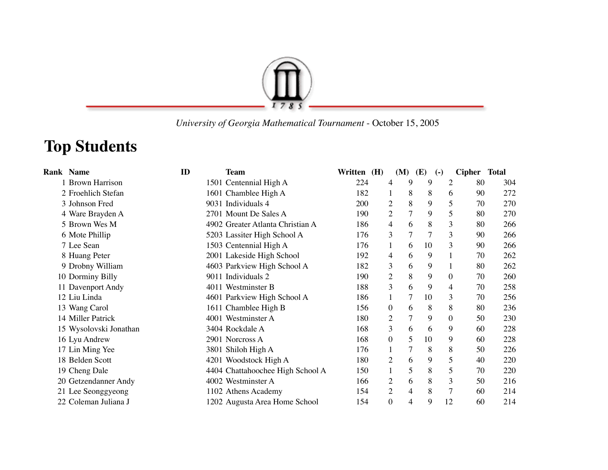

 *University of Georgia Mathematical Tournament* - October 15, 2005

## **Top Students**

| <b>Rank Name</b>       | ID | <b>Team</b>                      | Written (H) |                  | (M)            | <b>(E)</b>     | $\left( -\right)$ | Cipher Total |     |
|------------------------|----|----------------------------------|-------------|------------------|----------------|----------------|-------------------|--------------|-----|
| 1 Brown Harrison       |    | 1501 Centennial High A           | 224         | 4                | 9              | 9              | $\overline{2}$    | 80           | 304 |
| 2 Froehlich Stefan     |    | 1601 Chamblee High A             | 182         |                  | 8              | 8              | 6                 | 90           | 272 |
| 3 Johnson Fred         |    | 9031 Individuals 4               | 200         | 2                | 8              | 9              | 5                 | 70           | 270 |
| 4 Ware Brayden A       |    | 2701 Mount De Sales A            | 190         | $\overline{2}$   | $\overline{7}$ | 9              | 5                 | 80           | 270 |
| 5 Brown Wes M          |    | 4902 Greater Atlanta Christian A | 186         | 4                | 6              | 8              | 3                 | 80           | 266 |
| 6 Mote Phillip         |    | 5203 Lassiter High School A      | 176         | 3                | $\overline{7}$ | $\overline{7}$ | 3                 | 90           | 266 |
| 7 Lee Sean             |    | 1503 Centennial High A           | 176         | 1                | 6              | 10             | 3                 | 90           | 266 |
| 8 Huang Peter          |    | 2001 Lakeside High School        | 192         | 4                | 6              | 9              |                   | 70           | 262 |
| 9 Drobny William       |    | 4603 Parkview High School A      | 182         | 3                | 6              | 9              |                   | 80           | 262 |
| 10 Dorminy Billy       |    | 9011 Individuals 2               | 190         | $\overline{c}$   | 8              | 9              | $\Omega$          | 70           | 260 |
| 11 Davenport Andy      |    | 4011 Westminster B               | 188         | 3                | 6              | 9              | 4                 | 70           | 258 |
| 12 Liu Linda           |    | 4601 Parkview High School A      | 186         | 1                | 7              | 10             | 3                 | 70           | 256 |
| 13 Wang Carol          |    | 1611 Chamblee High B             | 156         | $\boldsymbol{0}$ | 6              | 8              | 8                 | 80           | 236 |
| 14 Miller Patrick      |    | 4001 Westminster A               | 180         | $\overline{2}$   | $\overline{7}$ | 9              | $\overline{0}$    | 50           | 230 |
| 15 Wysolovski Jonathan |    | 3404 Rockdale A                  | 168         | 3                | 6              | 6              | 9                 | 60           | 228 |
| 16 Lyu Andrew          |    | 2901 Norcross A                  | 168         | $\boldsymbol{0}$ | 5              | 10             | 9                 | 60           | 228 |
| 17 Lin Ming Yee        |    | 3801 Shiloh High A               | 176         |                  | 7              | 8              | 8                 | 50           | 226 |
| 18 Belden Scott        |    | 4201 Woodstock High A            | 180         | $\overline{c}$   | 6              | 9              | 5                 | 40           | 220 |
| 19 Cheng Dale          |    | 4404 Chattahoochee High School A | 150         |                  | 5              | 8              | 5                 | 70           | 220 |
| 20 Getzendanner Andy   |    | 4002 Westminster A               | 166         | $\overline{2}$   | 6              | 8              | 3                 | 50           | 216 |
| 21 Lee Seonggyeong     |    | 1102 Athens Academy              | 154         | $\overline{2}$   | 4              | 8              | 7                 | 60           | 214 |
| 22 Coleman Juliana J   |    | 1202 Augusta Area Home School    | 154         | $\boldsymbol{0}$ | $\overline{4}$ | 9              | 12                | 60           | 214 |